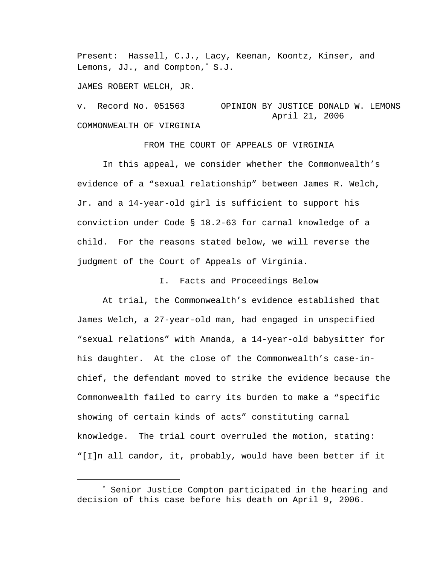Present: Hassell, C.J., Lacy, Keenan, Koontz, Kinser, and Lemons, JJ., and Compton,<sup>∗</sup> S.J.

JAMES ROBERT WELCH, JR.

i<br>Li

v. Record No. 051563 OPINION BY JUSTICE DONALD W. LEMONS April 21, 2006 COMMONWEALTH OF VIRGINIA

FROM THE COURT OF APPEALS OF VIRGINIA In this appeal, we consider whether the Commonwealth's evidence of a "sexual relationship" between James R. Welch, Jr. and a 14-year-old girl is sufficient to support his conviction under Code § 18.2-63 for carnal knowledge of a child. For the reasons stated below, we will reverse the judgment of the Court of Appeals of Virginia.

I. Facts and Proceedings Below

 At trial, the Commonwealth's evidence established that James Welch, a 27-year-old man, had engaged in unspecified "sexual relations" with Amanda, a 14-year-old babysitter for his daughter. At the close of the Commonwealth's case-inchief, the defendant moved to strike the evidence because the Commonwealth failed to carry its burden to make a "specific showing of certain kinds of acts" constituting carnal knowledge. The trial court overruled the motion, stating: "[I]n all candor, it, probably, would have been better if it

<sup>∗</sup> Senior Justice Compton participated in the hearing and decision of this case before his death on April 9, 2006.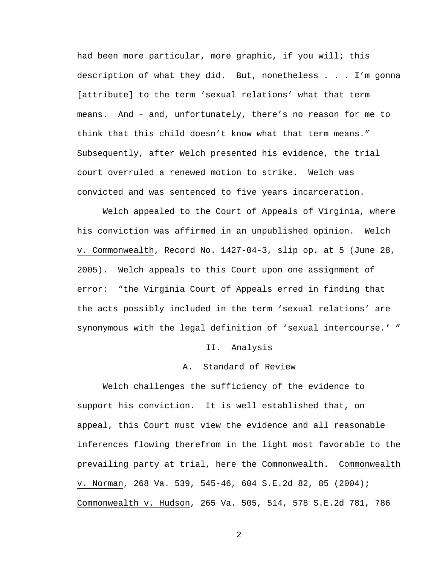had been more particular, more graphic, if you will; this description of what they did. But, nonetheless . . . I'm gonna [attribute] to the term 'sexual relations' what that term means. And – and, unfortunately, there's no reason for me to think that this child doesn't know what that term means." Subsequently, after Welch presented his evidence, the trial court overruled a renewed motion to strike. Welch was convicted and was sentenced to five years incarceration.

 Welch appealed to the Court of Appeals of Virginia, where his conviction was affirmed in an unpublished opinion. Welch v. Commonwealth, Record No. 1427-04-3, slip op. at 5 (June 28, 2005). Welch appeals to this Court upon one assignment of error: "the Virginia Court of Appeals erred in finding that the acts possibly included in the term 'sexual relations' are synonymous with the legal definition of 'sexual intercourse.' "

### II. Analysis

## A. Standard of Review

 Welch challenges the sufficiency of the evidence to support his conviction. It is well established that, on appeal, this Court must view the evidence and all reasonable inferences flowing therefrom in the light most favorable to the prevailing party at trial, here the Commonwealth. Commonwealth v. Norman, 268 Va. 539, 545-46, 604 S.E.2d 82, 85 (2004); Commonwealth v. Hudson, 265 Va. 505, 514, 578 S.E.2d 781, 786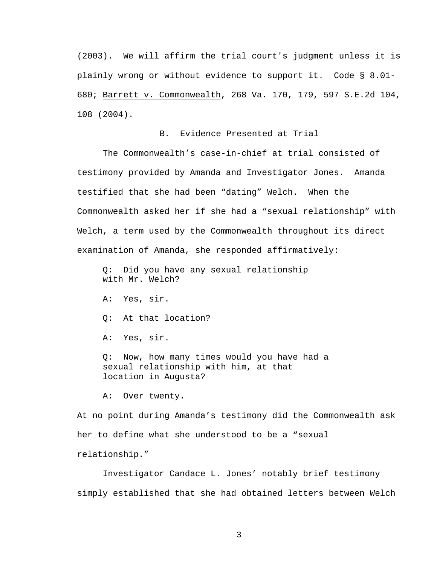(2003). We will affirm the trial court's judgment unless it is plainly wrong or without evidence to support it. Code § 8.01- 680; Barrett v. Commonwealth, 268 Va. 170, 179, 597 S.E.2d 104, 108 (2004).

# B. Evidence Presented at Trial

 The Commonwealth's case-in-chief at trial consisted of testimony provided by Amanda and Investigator Jones. Amanda testified that she had been "dating" Welch. When the Commonwealth asked her if she had a "sexual relationship" with Welch, a term used by the Commonwealth throughout its direct examination of Amanda, she responded affirmatively:

 Q: Did you have any sexual relationship with Mr. Welch?

- A: Yes, sir.
- Q: At that location?
- A: Yes, sir.

 Q: Now, how many times would you have had a sexual relationship with him, at that location in Augusta?

A: Over twenty.

At no point during Amanda's testimony did the Commonwealth ask her to define what she understood to be a "sexual relationship."

 Investigator Candace L. Jones' notably brief testimony simply established that she had obtained letters between Welch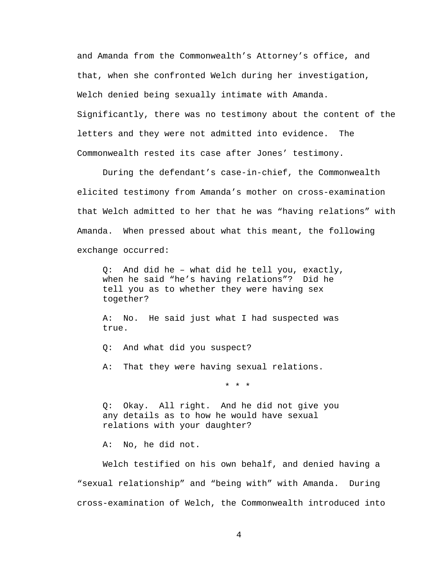and Amanda from the Commonwealth's Attorney's office, and that, when she confronted Welch during her investigation, Welch denied being sexually intimate with Amanda. Significantly, there was no testimony about the content of the letters and they were not admitted into evidence. The Commonwealth rested its case after Jones' testimony.

 During the defendant's case-in-chief, the Commonwealth elicited testimony from Amanda's mother on cross-examination that Welch admitted to her that he was "having relations" with Amanda. When pressed about what this meant, the following exchange occurred:

 Q: And did he – what did he tell you, exactly, when he said "he's having relations"? Did he tell you as to whether they were having sex together?

 A: No. He said just what I had suspected was true.

Q: And what did you suspect?

A: That they were having sexual relations.

\* \* \*

 Q: Okay. All right. And he did not give you any details as to how he would have sexual relations with your daughter?

A: No, he did not.

 Welch testified on his own behalf, and denied having a "sexual relationship" and "being with" with Amanda. During cross-examination of Welch, the Commonwealth introduced into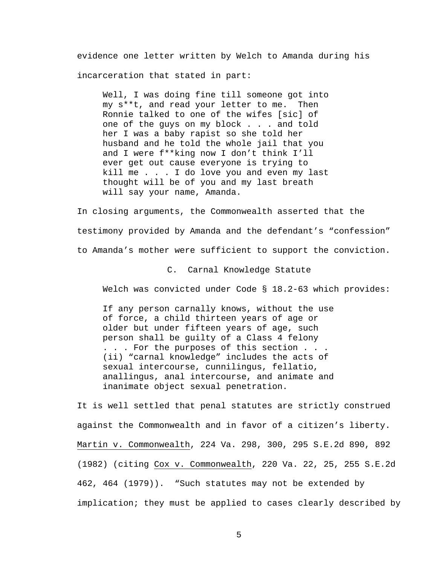evidence one letter written by Welch to Amanda during his incarceration that stated in part:

 Well, I was doing fine till someone got into my s\*\*t, and read your letter to me. Then Ronnie talked to one of the wifes [sic] of one of the guys on my block . . . and told her I was a baby rapist so she told her husband and he told the whole jail that you and I were f\*\*king now I don't think I'll ever get out cause everyone is trying to kill me . . . I do love you and even my last thought will be of you and my last breath will say your name, Amanda.

In closing arguments, the Commonwealth asserted that the testimony provided by Amanda and the defendant's "confession" to Amanda's mother were sufficient to support the conviction.

C. Carnal Knowledge Statute

Welch was convicted under Code § 18.2-63 which provides:

 If any person carnally knows, without the use of force, a child thirteen years of age or older but under fifteen years of age, such person shall be guilty of a Class 4 felony . . . For the purposes of this section . . . (ii) "carnal knowledge" includes the acts of sexual intercourse, cunnilingus, fellatio, anallingus, anal intercourse, and animate and inanimate object sexual penetration.

It is well settled that penal statutes are strictly construed against the Commonwealth and in favor of a citizen's liberty. Martin v. Commonwealth, 224 Va. 298, 300, 295 S.E.2d 890, 892 (1982) (citing Cox v. Commonwealth, 220 Va. 22, 25, 255 S.E.2d 462, 464 (1979)). "Such statutes may not be extended by implication; they must be applied to cases clearly described by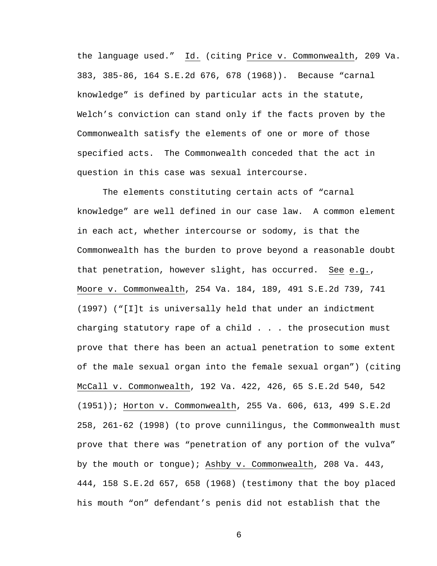the language used." Id. (citing Price v. Commonwealth, 209 Va. 383, 385-86, 164 S.E.2d 676, 678 (1968)). Because "carnal knowledge" is defined by particular acts in the statute, Welch's conviction can stand only if the facts proven by the Commonwealth satisfy the elements of one or more of those specified acts. The Commonwealth conceded that the act in question in this case was sexual intercourse.

 The elements constituting certain acts of "carnal knowledge" are well defined in our case law. A common element in each act, whether intercourse or sodomy, is that the Commonwealth has the burden to prove beyond a reasonable doubt that penetration, however slight, has occurred. See e.g., Moore v. Commonwealth, 254 Va. 184, 189, 491 S.E.2d 739, 741 (1997) ("[I]t is universally held that under an indictment charging statutory rape of a child  $\ldots$  . the prosecution must prove that there has been an actual penetration to some extent of the male sexual organ into the female sexual organ") (citing McCall v. Commonwealth, 192 Va. 422, 426, 65 S.E.2d 540, 542 (1951)); Horton v. Commonwealth, 255 Va. 606, 613, 499 S.E.2d 258, 261-62 (1998) (to prove cunnilingus, the Commonwealth must prove that there was "penetration of any portion of the vulva" by the mouth or tongue); Ashby v. Commonwealth, 208 Va. 443, 444, 158 S.E.2d 657, 658 (1968) (testimony that the boy placed his mouth "on" defendant's penis did not establish that the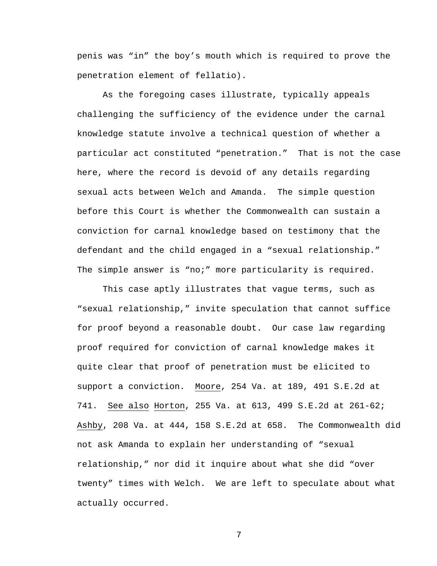penis was "in" the boy's mouth which is required to prove the penetration element of fellatio).

 As the foregoing cases illustrate, typically appeals challenging the sufficiency of the evidence under the carnal knowledge statute involve a technical question of whether a particular act constituted "penetration." That is not the case here, where the record is devoid of any details regarding sexual acts between Welch and Amanda. The simple question before this Court is whether the Commonwealth can sustain a conviction for carnal knowledge based on testimony that the defendant and the child engaged in a "sexual relationship." The simple answer is "no;" more particularity is required.

 This case aptly illustrates that vague terms, such as "sexual relationship," invite speculation that cannot suffice for proof beyond a reasonable doubt. Our case law regarding proof required for conviction of carnal knowledge makes it quite clear that proof of penetration must be elicited to support a conviction. Moore, 254 Va. at 189, 491 S.E.2d at 741. See also Horton, 255 Va. at 613, 499 S.E.2d at 261-62; Ashby, 208 Va. at 444, 158 S.E.2d at 658. The Commonwealth did not ask Amanda to explain her understanding of "sexual relationship," nor did it inquire about what she did "over twenty" times with Welch. We are left to speculate about what actually occurred.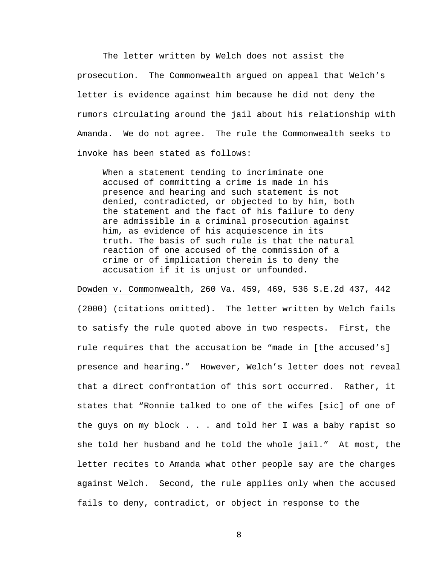The letter written by Welch does not assist the prosecution. The Commonwealth argued on appeal that Welch's letter is evidence against him because he did not deny the rumors circulating around the jail about his relationship with Amanda. We do not agree. The rule the Commonwealth seeks to invoke has been stated as follows:

 When a statement tending to incriminate one accused of committing a crime is made in his presence and hearing and such statement is not denied, contradicted, or objected to by him, both the statement and the fact of his failure to deny are admissible in a criminal prosecution against him, as evidence of his acquiescence in its truth. The basis of such rule is that the natural reaction of one accused of the commission of a crime or of implication therein is to deny the accusation if it is unjust or unfounded.

Dowden v. Commonwealth, 260 Va. 459, 469, 536 S.E.2d 437, 442 (2000) (citations omitted). The letter written by Welch fails to satisfy the rule quoted above in two respects. First, the rule requires that the accusation be "made in [the accused's] presence and hearing." However, Welch's letter does not reveal that a direct confrontation of this sort occurred. Rather, it states that "Ronnie talked to one of the wifes [sic] of one of the guys on my block . . . and told her I was a baby rapist so she told her husband and he told the whole jail." At most, the letter recites to Amanda what other people say are the charges against Welch. Second, the rule applies only when the accused fails to deny, contradict, or object in response to the